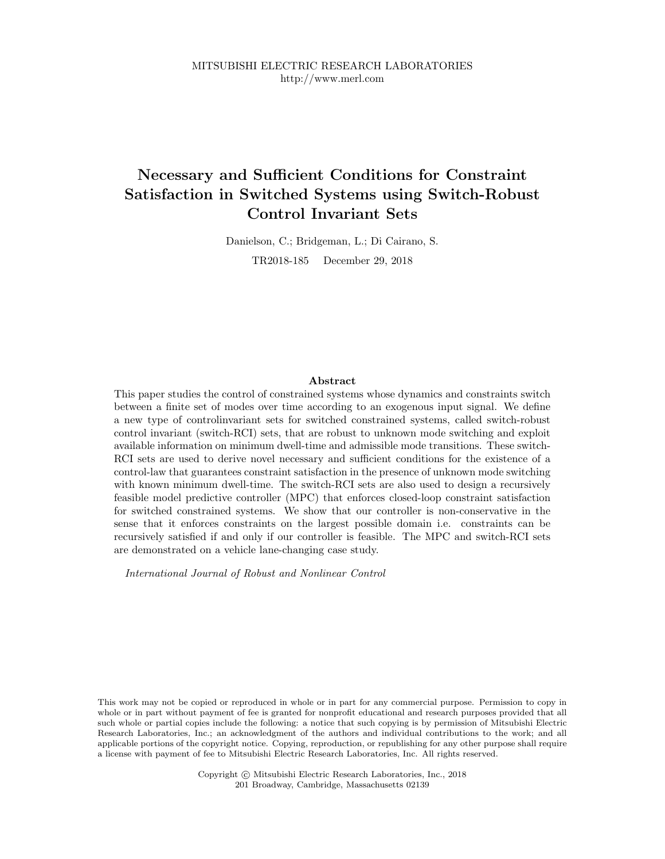# **Necessary and Sufficient Conditions for Constraint Satisfaction in Switched Systems using Switch-Robust Control Invariant Sets**

Danielson, C.; Bridgeman, L.; Di Cairano, S. TR2018-185 December 29, 2018

#### **Abstract**

This paper studies the control of constrained systems whose dynamics and constraints switch between a finite set of modes over time according to an exogenous input signal. We define a new type of controlinvariant sets for switched constrained systems, called switch-robust control invariant (switch-RCI) sets, that are robust to unknown mode switching and exploit available information on minimum dwell-time and admissible mode transitions. These switch-RCI sets are used to derive novel necessary and sufficient conditions for the existence of a control-law that guarantees constraint satisfaction in the presence of unknown mode switching with known minimum dwell-time. The switch-RCI sets are also used to design a recursively feasible model predictive controller (MPC) that enforces closed-loop constraint satisfaction for switched constrained systems. We show that our controller is non-conservative in the sense that it enforces constraints on the largest possible domain i.e. constraints can be recursively satisfied if and only if our controller is feasible. The MPC and switch-RCI sets are demonstrated on a vehicle lane-changing case study.

*International Journal of Robust and Nonlinear Control*

This work may not be copied or reproduced in whole or in part for any commercial purpose. Permission to copy in whole or in part without payment of fee is granted for nonprofit educational and research purposes provided that all such whole or partial copies include the following: a notice that such copying is by permission of Mitsubishi Electric Research Laboratories, Inc.; an acknowledgment of the authors and individual contributions to the work; and all applicable portions of the copyright notice. Copying, reproduction, or republishing for any other purpose shall require a license with payment of fee to Mitsubishi Electric Research Laboratories, Inc. All rights reserved.

> Copyright  $\odot$  Mitsubishi Electric Research Laboratories, Inc., 2018 201 Broadway, Cambridge, Massachusetts 02139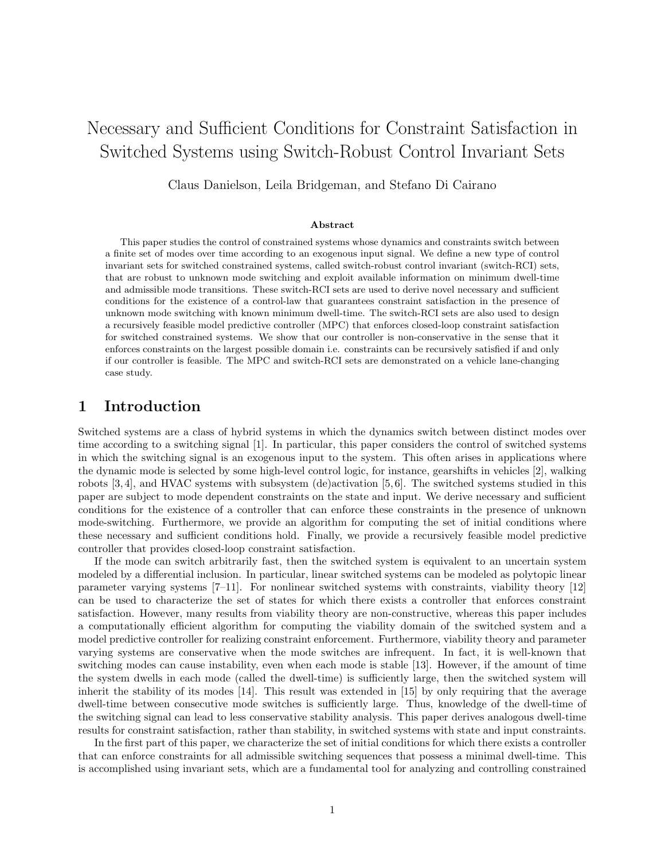# Necessary and Sufficient Conditions for Constraint Satisfaction in Switched Systems using Switch-Robust Control Invariant Sets

Claus Danielson, Leila Bridgeman, and Stefano Di Cairano

#### Abstract

This paper studies the control of constrained systems whose dynamics and constraints switch between a finite set of modes over time according to an exogenous input signal. We define a new type of control invariant sets for switched constrained systems, called switch-robust control invariant (switch-RCI) sets, that are robust to unknown mode switching and exploit available information on minimum dwell-time and admissible mode transitions. These switch-RCI sets are used to derive novel necessary and sufficient conditions for the existence of a control-law that guarantees constraint satisfaction in the presence of unknown mode switching with known minimum dwell-time. The switch-RCI sets are also used to design a recursively feasible model predictive controller (MPC) that enforces closed-loop constraint satisfaction for switched constrained systems. We show that our controller is non-conservative in the sense that it enforces constraints on the largest possible domain i.e. constraints can be recursively satisfied if and only if our controller is feasible. The MPC and switch-RCI sets are demonstrated on a vehicle lane-changing case study.

### 1 Introduction

Switched systems are a class of hybrid systems in which the dynamics switch between distinct modes over time according to a switching signal [1]. In particular, this paper considers the control of switched systems in which the switching signal is an exogenous input to the system. This often arises in applications where the dynamic mode is selected by some high-level control logic, for instance, gearshifts in vehicles [2], walking robots [3, 4], and HVAC systems with subsystem (de)activation [5, 6]. The switched systems studied in this paper are subject to mode dependent constraints on the state and input. We derive necessary and sufficient conditions for the existence of a controller that can enforce these constraints in the presence of unknown mode-switching. Furthermore, we provide an algorithm for computing the set of initial conditions where these necessary and sufficient conditions hold. Finally, we provide a recursively feasible model predictive controller that provides closed-loop constraint satisfaction.

If the mode can switch arbitrarily fast, then the switched system is equivalent to an uncertain system modeled by a differential inclusion. In particular, linear switched systems can be modeled as polytopic linear parameter varying systems [7–11]. For nonlinear switched systems with constraints, viability theory [12] can be used to characterize the set of states for which there exists a controller that enforces constraint satisfaction. However, many results from viability theory are non-constructive, whereas this paper includes a computationally efficient algorithm for computing the viability domain of the switched system and a model predictive controller for realizing constraint enforcement. Furthermore, viability theory and parameter varying systems are conservative when the mode switches are infrequent. In fact, it is well-known that switching modes can cause instability, even when each mode is stable [13]. However, if the amount of time the system dwells in each mode (called the dwell-time) is sufficiently large, then the switched system will inherit the stability of its modes [14]. This result was extended in [15] by only requiring that the average dwell-time between consecutive mode switches is sufficiently large. Thus, knowledge of the dwell-time of the switching signal can lead to less conservative stability analysis. This paper derives analogous dwell-time results for constraint satisfaction, rather than stability, in switched systems with state and input constraints.

In the first part of this paper, we characterize the set of initial conditions for which there exists a controller that can enforce constraints for all admissible switching sequences that possess a minimal dwell-time. This is accomplished using invariant sets, which are a fundamental tool for analyzing and controlling constrained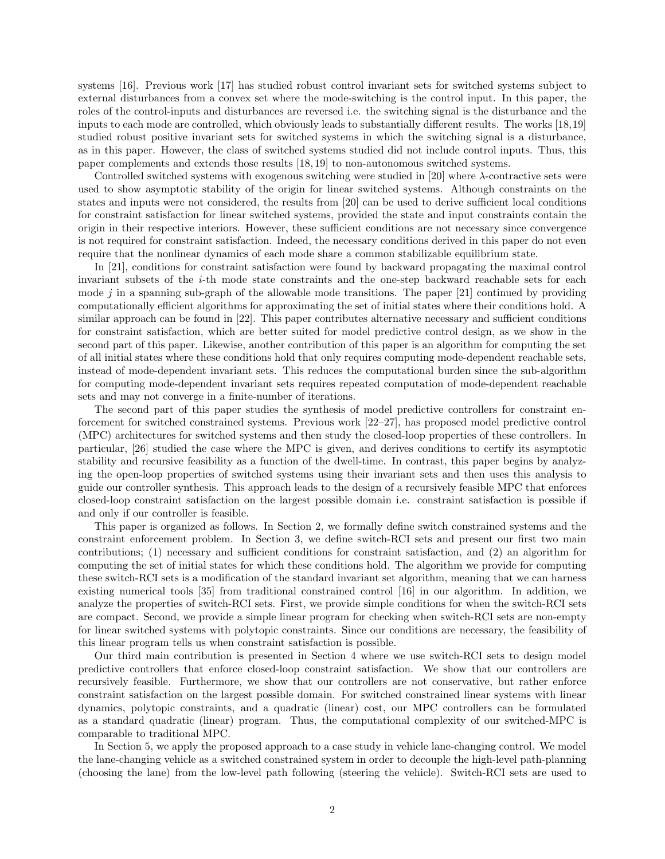systems [16]. Previous work [17] has studied robust control invariant sets for switched systems subject to external disturbances from a convex set where the mode-switching is the control input. In this paper, the roles of the control-inputs and disturbances are reversed i.e. the switching signal is the disturbance and the inputs to each mode are controlled, which obviously leads to substantially different results. The works [18,19] studied robust positive invariant sets for switched systems in which the switching signal is a disturbance, as in this paper. However, the class of switched systems studied did not include control inputs. Thus, this paper complements and extends those results [18, 19] to non-autonomous switched systems.

Controlled switched systems with exogenous switching were studied in [20] where  $\lambda$ -contractive sets were used to show asymptotic stability of the origin for linear switched systems. Although constraints on the states and inputs were not considered, the results from [20] can be used to derive sufficient local conditions for constraint satisfaction for linear switched systems, provided the state and input constraints contain the origin in their respective interiors. However, these sufficient conditions are not necessary since convergence is not required for constraint satisfaction. Indeed, the necessary conditions derived in this paper do not even require that the nonlinear dynamics of each mode share a common stabilizable equilibrium state.

In [21], conditions for constraint satisfaction were found by backward propagating the maximal control invariant subsets of the i-th mode state constraints and the one-step backward reachable sets for each mode j in a spanning sub-graph of the allowable mode transitions. The paper  $[21]$  continued by providing computationally efficient algorithms for approximating the set of initial states where their conditions hold. A similar approach can be found in [22]. This paper contributes alternative necessary and sufficient conditions for constraint satisfaction, which are better suited for model predictive control design, as we show in the second part of this paper. Likewise, another contribution of this paper is an algorithm for computing the set of all initial states where these conditions hold that only requires computing mode-dependent reachable sets, instead of mode-dependent invariant sets. This reduces the computational burden since the sub-algorithm for computing mode-dependent invariant sets requires repeated computation of mode-dependent reachable sets and may not converge in a finite-number of iterations.

The second part of this paper studies the synthesis of model predictive controllers for constraint enforcement for switched constrained systems. Previous work [22–27], has proposed model predictive control (MPC) architectures for switched systems and then study the closed-loop properties of these controllers. In particular, [26] studied the case where the MPC is given, and derives conditions to certify its asymptotic stability and recursive feasibility as a function of the dwell-time. In contrast, this paper begins by analyzing the open-loop properties of switched systems using their invariant sets and then uses this analysis to guide our controller synthesis. This approach leads to the design of a recursively feasible MPC that enforces closed-loop constraint satisfaction on the largest possible domain i.e. constraint satisfaction is possible if and only if our controller is feasible.

This paper is organized as follows. In Section 2, we formally define switch constrained systems and the constraint enforcement problem. In Section 3, we define switch-RCI sets and present our first two main contributions; (1) necessary and sufficient conditions for constraint satisfaction, and (2) an algorithm for computing the set of initial states for which these conditions hold. The algorithm we provide for computing these switch-RCI sets is a modification of the standard invariant set algorithm, meaning that we can harness existing numerical tools [35] from traditional constrained control [16] in our algorithm. In addition, we analyze the properties of switch-RCI sets. First, we provide simple conditions for when the switch-RCI sets are compact. Second, we provide a simple linear program for checking when switch-RCI sets are non-empty for linear switched systems with polytopic constraints. Since our conditions are necessary, the feasibility of this linear program tells us when constraint satisfaction is possible.

Our third main contribution is presented in Section 4 where we use switch-RCI sets to design model predictive controllers that enforce closed-loop constraint satisfaction. We show that our controllers are recursively feasible. Furthermore, we show that our controllers are not conservative, but rather enforce constraint satisfaction on the largest possible domain. For switched constrained linear systems with linear dynamics, polytopic constraints, and a quadratic (linear) cost, our MPC controllers can be formulated as a standard quadratic (linear) program. Thus, the computational complexity of our switched-MPC is comparable to traditional MPC.

In Section 5, we apply the proposed approach to a case study in vehicle lane-changing control. We model the lane-changing vehicle as a switched constrained system in order to decouple the high-level path-planning (choosing the lane) from the low-level path following (steering the vehicle). Switch-RCI sets are used to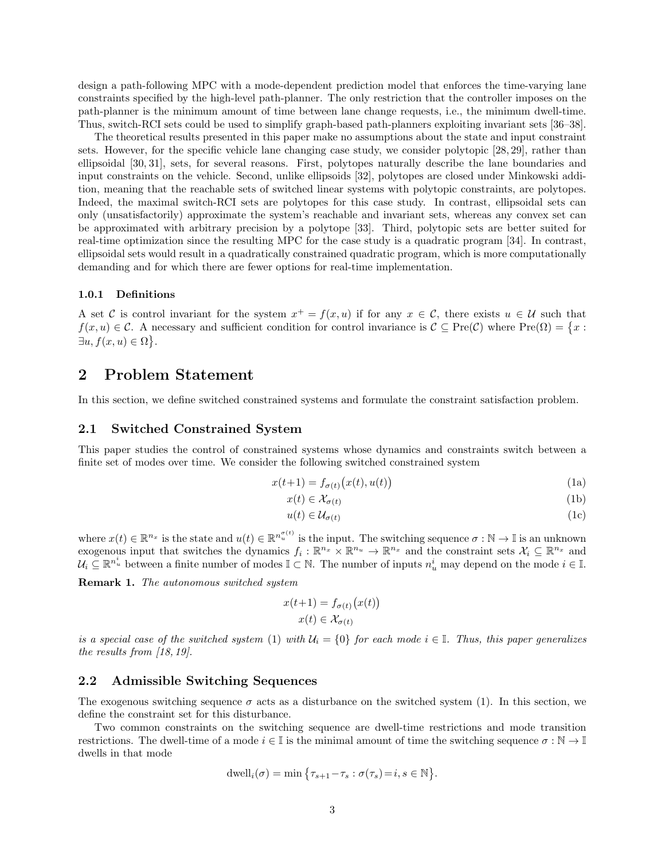design a path-following MPC with a mode-dependent prediction model that enforces the time-varying lane constraints specified by the high-level path-planner. The only restriction that the controller imposes on the path-planner is the minimum amount of time between lane change requests, i.e., the minimum dwell-time. Thus, switch-RCI sets could be used to simplify graph-based path-planners exploiting invariant sets [36–38].

The theoretical results presented in this paper make no assumptions about the state and input constraint sets. However, for the specific vehicle lane changing case study, we consider polytopic [28, 29], rather than ellipsoidal [30, 31], sets, for several reasons. First, polytopes naturally describe the lane boundaries and input constraints on the vehicle. Second, unlike ellipsoids [32], polytopes are closed under Minkowski addition, meaning that the reachable sets of switched linear systems with polytopic constraints, are polytopes. Indeed, the maximal switch-RCI sets are polytopes for this case study. In contrast, ellipsoidal sets can only (unsatisfactorily) approximate the system's reachable and invariant sets, whereas any convex set can be approximated with arbitrary precision by a polytope [33]. Third, polytopic sets are better suited for real-time optimization since the resulting MPC for the case study is a quadratic program [34]. In contrast, ellipsoidal sets would result in a quadratically constrained quadratic program, which is more computationally demanding and for which there are fewer options for real-time implementation.

#### 1.0.1 Definitions

A set C is control invariant for the system  $x^+ = f(x, u)$  if for any  $x \in C$ , there exists  $u \in U$  such that  $f(x, u) \in \mathcal{C}$ . A necessary and sufficient condition for control invariance is  $\mathcal{C} \subseteq \text{Pre}(\mathcal{C})$  where  $\text{Pre}(\Omega) = \{x :$  $\exists u, f(x, u) \in \Omega$ .

### 2 Problem Statement

In this section, we define switched constrained systems and formulate the constraint satisfaction problem.

### 2.1 Switched Constrained System

This paper studies the control of constrained systems whose dynamics and constraints switch between a finite set of modes over time. We consider the following switched constrained system

$$
x(t+1) = f_{\sigma(t)}(x(t), u(t))
$$
\n(1a)

$$
x(t) \in \mathcal{X}_{\sigma(t)} \tag{1b}
$$

$$
u(t) \in \mathcal{U}_{\sigma(t)} \tag{1c}
$$

where  $x(t) \in \mathbb{R}^{n_x}$  is the state and  $u(t) \in \mathbb{R}^{n_x^{(\sigma)}}$  is the input. The switching sequence  $\sigma : \mathbb{N} \to \mathbb{I}$  is an unknown exogenous input that switches the dynamics  $f_i: \mathbb{R}^{n_x} \times \mathbb{R}^{n_u} \to \mathbb{R}^{n_x}$  and the constraint sets  $\mathcal{X}_i \subseteq \mathbb{R}^{n_x}$  and  $\mathcal{U}_i \subseteq \mathbb{R}^{n_u^i}$  between a finite number of modes  $\mathbb{I} \subset \mathbb{N}$ . The number of inputs  $n_u^i$  may depend on the mode  $i \in \mathbb{I}$ .

Remark 1. The autonomous switched system

$$
x(t+1) = f_{\sigma(t)}(x(t))
$$

$$
x(t) \in \mathcal{X}_{\sigma(t)}
$$

is a special case of the switched system (1) with  $U_i = \{0\}$  for each mode  $i \in \mathbb{I}$ . Thus, this paper generalizes the results from [18, 19].

#### 2.2 Admissible Switching Sequences

The exogenous switching sequence  $\sigma$  acts as a disturbance on the switched system (1). In this section, we define the constraint set for this disturbance.

Two common constraints on the switching sequence are dwell-time restrictions and mode transition restrictions. The dwell-time of a mode  $i \in \mathbb{I}$  is the minimal amount of time the switching sequence  $\sigma : \mathbb{N} \to \mathbb{I}$ dwells in that mode

dwell<sub>i</sub>(
$$
\sigma
$$
) = min { $\tau_{s+1}$ – $\tau_s$  :  $\sigma(\tau_s)$  =  $i, s \in \mathbb{N}$  }.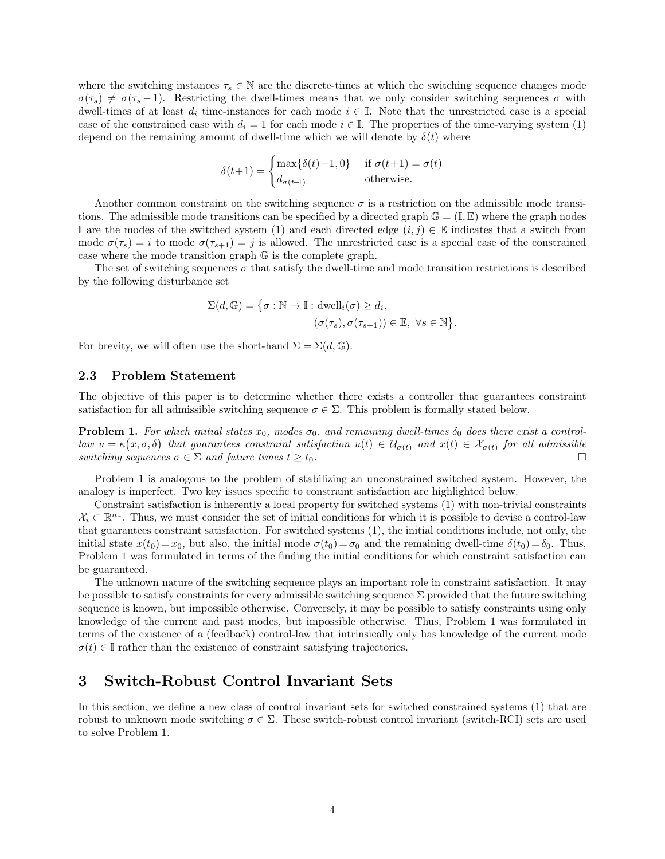where the switching instances  $\tau_s \in \mathbb{N}$  are the discrete-times at which the switching sequence changes mode  $\sigma(\tau_s) \neq \sigma(\tau_s - 1)$ . Restricting the dwell-times means that we only consider switching sequences  $\sigma$  with dwell-times of at least  $d_i$  time-instances for each mode  $i \in \mathbb{I}$ . Note that the unrestricted case is a special case of the constrained case with  $d_i = 1$  for each mode  $i \in \mathbb{I}$ . The properties of the time-varying system (1) depend on the remaining amount of dwell-time which we will denote by  $\delta(t)$  where

$$
\delta(t+1) = \begin{cases} \max\{\delta(t) - 1, 0\} & \text{if } \sigma(t+1) = \sigma(t) \\ d_{\sigma(t+1)} & \text{otherwise.} \end{cases}
$$

Another common constraint on the switching sequence  $\sigma$  is a restriction on the admissible mode transitions. The admissible mode transitions can be specified by a directed graph  $\mathbb{G} = (\mathbb{I}, \mathbb{E})$  where the graph nodes I are the modes of the switched system (1) and each directed edge  $(i, j) \in \mathbb{E}$  indicates that a switch from mode  $\sigma(\tau_s) = i$  to mode  $\sigma(\tau_{s+1}) = j$  is allowed. The unrestricted case is a special case of the constrained case where the mode transition graph G is the complete graph.

The set of switching sequences  $\sigma$  that satisfy the dwell-time and mode transition restrictions is described by the following disturbance set

$$
\Sigma(d, \mathbb{G}) = \{ \sigma : \mathbb{N} \to \mathbb{I} : \text{dwell}_i(\sigma) \ge d_i, (\sigma(\tau_s), \sigma(\tau_{s+1})) \in \mathbb{E}, \ \forall s \in \mathbb{N} \}.
$$

For brevity, we will often use the short-hand  $\Sigma = \Sigma(d, \mathbb{G})$ .

### 2.3 Problem Statement

The objective of this paper is to determine whether there exists a controller that guarantees constraint satisfaction for all admissible switching sequence  $\sigma \in \Sigma$ . This problem is formally stated below.

**Problem 1.** For which initial states  $x_0$ , modes  $\sigma_0$ , and remaining dwell-times  $\delta_0$  does there exist a controllaw  $u = \kappa(x, \sigma, \delta)$  that guarantees constraint satisfaction  $u(t) \in \mathcal{U}_{\sigma(t)}$  and  $x(t) \in \mathcal{X}_{\sigma(t)}$  for all admissible switching sequences  $\sigma \in \Sigma$  and future times  $t \geq t_0$ .

Problem 1 is analogous to the problem of stabilizing an unconstrained switched system. However, the analogy is imperfect. Two key issues specific to constraint satisfaction are highlighted below.

Constraint satisfaction is inherently a local property for switched systems (1) with non-trivial constraints  $\mathcal{X}_i \subset \mathbb{R}^{n_x}$ . Thus, we must consider the set of initial conditions for which it is possible to devise a control-law that guarantees constraint satisfaction. For switched systems (1), the initial conditions include, not only, the initial state  $x(t_0) = x_0$ , but also, the initial mode  $\sigma(t_0) = \sigma_0$  and the remaining dwell-time  $\delta(t_0) = \delta_0$ . Thus, Problem 1 was formulated in terms of the finding the initial conditions for which constraint satisfaction can be guaranteed.

The unknown nature of the switching sequence plays an important role in constraint satisfaction. It may be possible to satisfy constraints for every admissible switching sequence  $\Sigma$  provided that the future switching sequence is known, but impossible otherwise. Conversely, it may be possible to satisfy constraints using only knowledge of the current and past modes, but impossible otherwise. Thus, Problem 1 was formulated in terms of the existence of a (feedback) control-law that intrinsically only has knowledge of the current mode  $\sigma(t) \in \mathbb{I}$  rather than the existence of constraint satisfying trajectories.

### 3 Switch-Robust Control Invariant Sets

In this section, we define a new class of control invariant sets for switched constrained systems (1) that are robust to unknown mode switching  $\sigma \in \Sigma$ . These switch-robust control invariant (switch-RCI) sets are used to solve Problem 1.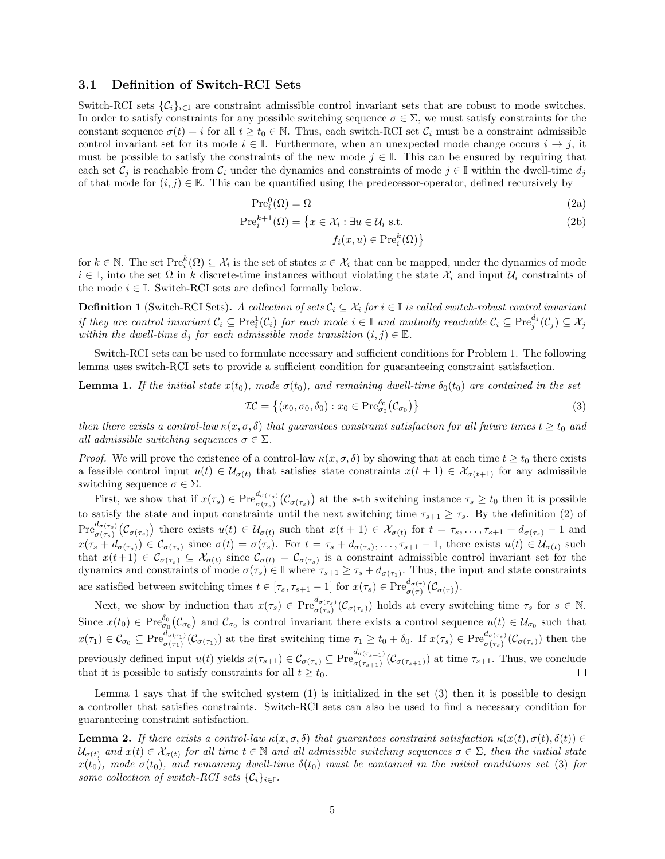#### 3.1 Definition of Switch-RCI Sets

Switch-RCI sets  ${C_i}_{i \in I}$  are constraint admissible control invariant sets that are robust to mode switches. In order to satisfy constraints for any possible switching sequence  $\sigma \in \Sigma$ , we must satisfy constraints for the constant sequence  $\sigma(t) = i$  for all  $t \geq t_0 \in \mathbb{N}$ . Thus, each switch-RCI set  $\mathcal{C}_i$  must be a constraint admissible control invariant set for its mode  $i \in \mathbb{I}$ . Furthermore, when an unexpected mode change occurs  $i \to j$ , it must be possible to satisfy the constraints of the new mode  $j \in \mathbb{I}$ . This can be ensured by requiring that each set  $C_i$  is reachable from  $C_i$  under the dynamics and constraints of mode  $j \in \mathbb{I}$  within the dwell-time  $d_i$ of that mode for  $(i, j) \in \mathbb{E}$ . This can be quantified using the predecessor-operator, defined recursively by

$$
\operatorname{Pre}_i^0(\Omega) = \Omega \tag{2a}
$$

$$
\operatorname{Pre}_{i}^{k+1}(\Omega) = \left\{ x \in \mathcal{X}_{i} : \exists u \in \mathcal{U}_{i} \text{ s.t. } \right\}
$$
\n
$$
f_{i}(x, u) \in \operatorname{Pre}_{i}^{k}(\Omega) \right\}
$$
\n
$$
(2b)
$$

for  $k \in \mathbb{N}$ . The set  $\text{Pre}_i^k(\Omega) \subseteq \mathcal{X}_i$  is the set of states  $x \in \mathcal{X}_i$  that can be mapped, under the dynamics of mode  $i \in \mathbb{I}$ , into the set  $\Omega$  in k discrete-time instances without violating the state  $\mathcal{X}_i$  and input  $\mathcal{U}_i$  constraints of the mode  $i \in \mathbb{I}$ . Switch-RCI sets are defined formally below.

**Definition 1** (Switch-RCI Sets). A collection of sets  $C_i \subseteq \mathcal{X}_i$  for  $i \in \mathbb{I}$  is called switch-robust control invariant if they are control invariant  $C_i \subseteq \text{Pre}_i^1(\mathcal{C}_i)$  for each mode  $i \in \mathbb{I}$  and mutually reachable  $\mathcal{C}_i \subseteq \text{Pre}_j^{d_j}(\mathcal{C}_j) \subseteq \mathcal{X}_j$ within the dwell-time  $d_i$  for each admissible mode transition  $(i, j) \in \mathbb{E}$ .

Switch-RCI sets can be used to formulate necessary and sufficient conditions for Problem 1. The following lemma uses switch-RCI sets to provide a sufficient condition for guaranteeing constraint satisfaction.

**Lemma 1.** If the initial state  $x(t_0)$ , mode  $\sigma(t_0)$ , and remaining dwell-time  $\delta_0(t_0)$  are contained in the set

$$
\mathcal{IC} = \left\{ (x_0, \sigma_0, \delta_0) : x_0 \in \text{Pre}^{\delta_0}_{\sigma_0}(\mathcal{C}_{\sigma_0}) \right\}
$$
\n
$$
(3)
$$

then there exists a control-law  $\kappa(x, \sigma, \delta)$  that guarantees constraint satisfaction for all future times  $t \geq t_0$  and all admissible switching sequences  $\sigma \in \Sigma$ .

*Proof.* We will prove the existence of a control-law  $\kappa(x, \sigma, \delta)$  by showing that at each time  $t \geq t_0$  there exists a feasible control input  $u(t) \in \mathcal{U}_{\sigma(t)}$  that satisfies state constraints  $x(t+1) \in \mathcal{X}_{\sigma(t+1)}$  for any admissible switching sequence  $\sigma \in \Sigma$ .

First, we show that if  $x(\tau_s) \in \text{Pre}^{d_{\sigma(\tau_s)}}_{\sigma(\tau_s)}(\mathcal{C}_{\sigma(\tau_s)})$  at the s-th switching instance  $\tau_s \geq t_0$  then it is possible to satisfy the state and input constraints until the next switching time  $\tau_{s+1} \geq \tau_s$ . By the definition (2) of  $\text{Pre}_{\sigma(\tau_s)}^{d_{\sigma(\tau_s)}}(\mathcal{C}_{\sigma(\tau_s)})$  there exists  $u(t) \in \mathcal{U}_{\sigma(t)}$  such that  $x(t+1) \in \mathcal{X}_{\sigma(t)}$  for  $t = \tau_s, \ldots, \tau_{s+1} + d_{\sigma(\tau_s)} - 1$  and  $x(\tau_s+d_{\sigma(\tau_s)})\in\mathcal{C}_{\sigma(\tau_s)}$  since  $\sigma(t)=\sigma(\tau_s)$ . For  $t=\tau_s+d_{\sigma(\tau_s)},\ldots,\tau_{s+1}-1$ , there exists  $u(t)\in\mathcal{U}_{\sigma(t)}$  such that  $x(t+1) \in \mathcal{C}_{\sigma(\tau_s)} \subseteq \mathcal{X}_{\sigma(t)}$  since  $\mathcal{C}_{\sigma(t)} = \mathcal{C}_{\sigma(\tau_s)}$  is a constraint admissible control invariant set for the dynamics and constraints of mode  $\sigma(\tau_s) \in \mathbb{I}$  where  $\tau_{s+1} \geq \tau_s + d_{\sigma(\tau_1)}$ . Thus, the input and state constraints are satisfied between switching times  $t \in [\tau_s, \tau_{s+1} - 1]$  for  $x(\tau_s) \in \operatorname{Pre}_{\sigma(\tau)}^{d_{\sigma(\tau)}}(\mathcal{C}_{\sigma(\tau)})$ .

Next, we show by induction that  $x(\tau_s) \in \mathrm{Pre}^{d_{\sigma(\tau_s)}}_{\sigma(\tau_s)}(\mathcal{C}_{\sigma(\tau_s)})$  holds at every switching time  $\tau_s$  for  $s \in \mathbb{N}$ . Since  $x(t_0) \in \text{Pre}_{\sigma_0}^{\delta_0}(\mathcal{C}_{\sigma_0})$  and  $\mathcal{C}_{\sigma_0}$  is control invariant there exists a control sequence  $u(t) \in \mathcal{U}_{\sigma_0}$  such that  $x(\tau_1) \in \mathcal{C}_{\sigma_0} \subseteq \mathrm{Pre}^{d_{\sigma(\tau_1)}}_{\sigma(\tau_1)}(\mathcal{C}_{\sigma(\tau_1)})$  at the first switching time  $\tau_1 \ge t_0 + \delta_0$ . If  $x(\tau_s) \in \mathrm{Pre}^{d_{\sigma(\tau_s)}}_{\sigma(\tau_s)}(\mathcal{C}_{\sigma(\tau_s)})$  then the previously defined input  $u(t)$  yields  $x(\tau_{s+1}) \in \mathcal{C}_{\sigma(\tau_s)} \subseteq \text{Pre}_{\sigma(\tau_{s+1})}^{d_{\sigma(\tau_{s+1})}}$  $\sigma(\tau_{s+1}) (\mathcal{C}_{\sigma(\tau_{s+1})})$  at time  $\tau_{s+1}$ . Thus, we conclude that it is possible to satisfy constraints for all  $t \geq t_0$ .  $\Box$ 

Lemma 1 says that if the switched system (1) is initialized in the set (3) then it is possible to design a controller that satisfies constraints. Switch-RCI sets can also be used to find a necessary condition for guaranteeing constraint satisfaction.

**Lemma 2.** If there exists a control-law  $\kappa(x, \sigma, \delta)$  that guarantees constraint satisfaction  $\kappa(x(t), \sigma(t), \delta(t)) \in$  $\mathcal{U}_{\sigma(t)}$  and  $x(t) \in \mathcal{X}_{\sigma(t)}$  for all time  $t \in \mathbb{N}$  and all admissible switching sequences  $\sigma \in \Sigma$ , then the initial state  $x(t_0)$ , mode  $\sigma(t_0)$ , and remaining dwell-time  $\delta(t_0)$  must be contained in the initial conditions set (3) for some collection of switch-RCI sets  $\{\mathcal{C}_i\}_{i\in\mathbb{I}}$ .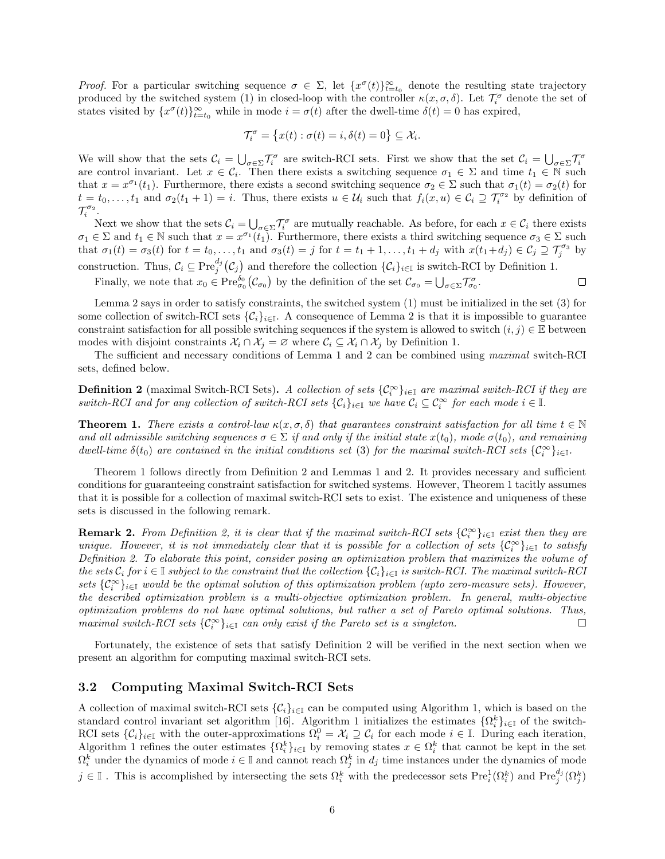Proof. For a particular switching sequence  $\sigma \in \Sigma$ , let  $\{x^{\sigma}(t)\}_{t=t_0}^{\infty}$  denote the resulting state trajectory produced by the switched system (1) in closed-loop with the controller  $\kappa(x, \sigma, \delta)$ . Let  $\mathcal{T}_i^{\sigma}$  denote the set of states visited by  $\{x^{\sigma}(t)\}_{t=t_0}^{\infty}$  while in mode  $i = \sigma(t)$  after the dwell-time  $\delta(t) = 0$  has expired,

$$
\mathcal{T}^{\sigma}_i = \big\{ x(t) : \sigma(t) = i, \delta(t) = 0 \big\} \subseteq \mathcal{X}_i.
$$

We will show that the sets  $C_i = \bigcup_{\sigma \in \Sigma} \mathcal{T}_i^{\sigma}$  are switch-RCI sets. First we show that the set  $C_i = \bigcup_{\sigma \in \Sigma} \mathcal{T}_i^{\sigma}$  are control invariant. Let  $x \in C_i$ . Then there exists a switching sequence  $\sigma_1 \in \Sigma$  and ti that  $x = x^{\sigma_1}(t_1)$ . Furthermore, there exists a second switching sequence  $\sigma_2 \in \Sigma$  such that  $\sigma_1(t) = \sigma_2(t)$  for  $t = t_0, \ldots, t_1$  and  $\sigma_2(t_1 + 1) = i$ . Thus, there exists  $u \in \mathcal{U}_i$  such that  $f_i(x, u) \in \mathcal{C}_i \supseteq \mathcal{T}_i^{\sigma_2}$  by definition of  $\mathcal{T}^{\sigma_2}_i$ .

Next we show that the sets  $\mathcal{C}_i = \bigcup_{\sigma \in \Sigma} \mathcal{T}_i^{\sigma}$  are mutually reachable. As before, for each  $x \in \mathcal{C}_i$  there exists  $\sigma_1 \in \Sigma$  and  $t_1 \in \mathbb{N}$  such that  $x = x^{\sigma_1}(t_1)$ . Furthermore, there exists a third switching sequence  $\sigma_3 \in \Sigma$  such that  $\sigma_1(t) = \sigma_3(t)$  for  $t = t_0, \ldots, t_1$  and  $\sigma_3(t) = j$  for  $t = t_1 + 1, \ldots, t_1 + d_j$  with  $x(t_1 + d_j) \in C_j \supseteq \mathcal{T}_j^{\sigma_3}$  by construction. Thus,  $\mathcal{C}_i \subseteq \text{Pre}^{d_j}_{j}(\mathcal{C}_j)$  and therefore the collection  $\{\mathcal{C}_i\}_{i\in\mathbb{I}}$  is switch-RCI by Definition 1.

Finally, we note that  $x_0 \in \text{Pre}^{\delta_0}_{\sigma_0}(\mathcal{C}_{\sigma_0})$  by the definition of the set  $\mathcal{C}_{\sigma_0} = \bigcup_{\sigma \in \Sigma} \mathcal{T}_{\sigma_0}^{\sigma}$ .  $\Box$ 

Lemma 2 says in order to satisfy constraints, the switched system (1) must be initialized in the set (3) for some collection of switch-RCI sets  $\{\mathcal{C}_i\}_{i\in\mathbb{I}}$ . A consequence of Lemma 2 is that it is impossible to guarantee constraint satisfaction for all possible switching sequences if the system is allowed to switch  $(i, j) \in \mathbb{E}$  between modes with disjoint constraints  $\mathcal{X}_i \cap \mathcal{X}_j = \emptyset$  where  $\mathcal{C}_i \subseteq \mathcal{X}_i \cap \mathcal{X}_j$  by Definition 1.

The sufficient and necessary conditions of Lemma 1 and 2 can be combined using maximal switch-RCI sets, defined below.

**Definition 2** (maximal Switch-RCI Sets). A collection of sets  $\{\mathcal{C}_i^{\infty}\}_{i\in\mathbb{I}}$  are maximal switch-RCI if they are switch-RCI and for any collection of switch-RCI sets  $\{\mathcal{C}_i\}_{i\in\mathbb{I}}$  we have  $\mathcal{C}_i \subseteq \mathcal{C}_i^{\infty}$  for each mode  $i \in \mathbb{I}$ .

**Theorem 1.** There exists a control-law  $\kappa(x, \sigma, \delta)$  that guarantees constraint satisfaction for all time  $t \in \mathbb{N}$ and all admissible switching sequences  $\sigma \in \Sigma$  if and only if the initial state  $x(t_0)$ , mode  $\sigma(t_0)$ , and remaining dwell-time  $\delta(t_0)$  are contained in the initial conditions set (3) for the maximal switch-RCI sets  $\{\mathcal{C}_i^{\infty}\}_{i\in\mathbb{I}}$ .

Theorem 1 follows directly from Definition 2 and Lemmas 1 and 2. It provides necessary and sufficient conditions for guaranteeing constraint satisfaction for switched systems. However, Theorem 1 tacitly assumes that it is possible for a collection of maximal switch-RCI sets to exist. The existence and uniqueness of these sets is discussed in the following remark.

**Remark 2.** From Definition 2, it is clear that if the maximal switch-RCI sets  $\{C_i^{\infty}\}_{i\in\mathbb{I}}$  exist then they are unique. However, it is not immediately clear that it is possible for a collection of sets  $\{\mathcal{C}_i^{\infty}\}_{i\in\mathbb{I}}$  to satisfy Definition 2. To elaborate this point, consider posing an optimization problem that maximizes the volume of the sets  $C_i$  for  $i \in \mathbb{I}$  subject to the constraint that the collection  $\{C_i\}_{i \in \mathbb{I}}$  is switch-RCI. The maximal switch-RCI sets  $\{C_i^{\infty}\}_{i\in\mathbb{I}}$  would be the optimal solution of this optimization problem (upto zero-measure sets). However, the described optimization problem is a multi-objective optimization problem. In general, multi-objective optimization problems do not have optimal solutions, but rather a set of Pareto optimal solutions. Thus, maximal switch-RCI sets  $\{\mathcal{C}_i^{\infty}\}_{i\in\mathbb{I}}$  can only exist if the Pareto set is a singleton.

Fortunately, the existence of sets that satisfy Definition 2 will be verified in the next section when we present an algorithm for computing maximal switch-RCI sets.

### 3.2 Computing Maximal Switch-RCI Sets

A collection of maximal switch-RCI sets  ${C_i}_{i \in I}$  can be computed using Algorithm 1, which is based on the standard control invariant set algorithm [16]. Algorithm 1 initializes the estimates  $\{\Omega_i^k\}_{i\in\mathbb{I}}$  of the switch-RCI sets  $\{\mathcal{C}_i\}_{i\in\mathbb{I}}$  with the outer-approximations  $\Omega_i^0 = \mathcal{X}_i \supseteq \mathcal{C}_i$  for each mode  $i \in \mathbb{I}$ . During each iteration, Algorithm 1 refines the outer estimates  $\{\Omega_i^k\}_{i\in\mathbb{I}}$  by removing states  $x \in \Omega_i^k$  that cannot be kept in the set  $\Omega_i^k$  under the dynamics of mode  $i \in \mathbb{I}$  and cannot reach  $\Omega_j^k$  in  $d_j$  time instances under the dynamics of mode  $j \in \mathbb{I}$ . This is accomplished by intersecting the sets  $\Omega_i^k$  with the predecessor sets  $\text{Pre}_i^1(\Omega_i^k)$  and  $\text{Pre}_j^{d_j}(\Omega_j^k)$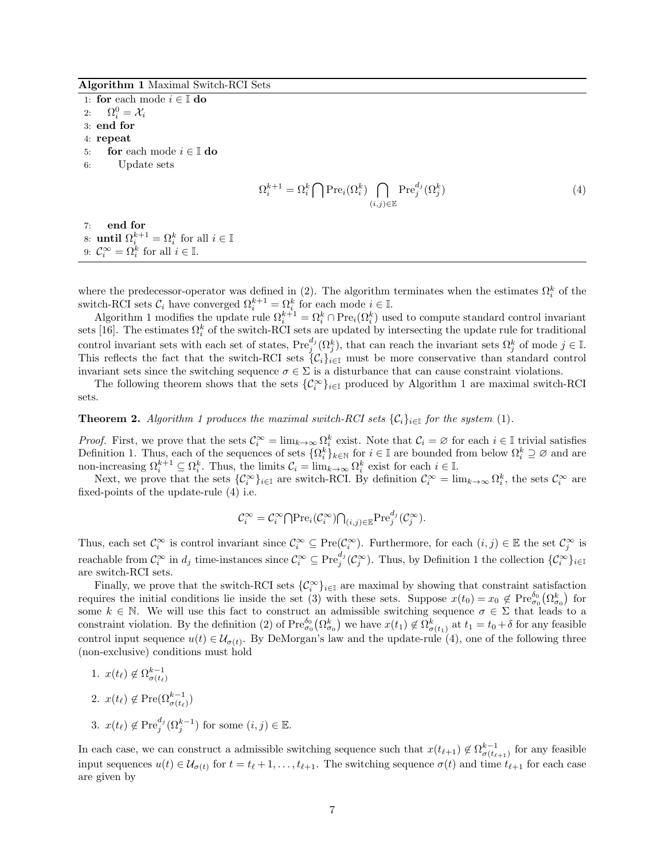#### Algorithm 1 Maximal Switch-RCI Sets

1: for each mode  $i \in \mathbb{I}$  do 2:  $\Omega_i^0 = \mathcal{X}_i$ 3: end for 4: repeat 5: for each mode  $i \in \mathbb{I}$  do

- 
- 6: Update sets

$$
\Omega_i^{k+1} = \Omega_i^k \bigcap \operatorname{Pre}_i(\Omega_i^k) \bigcap_{(i,j) \in \mathbb{E}} \operatorname{Pre}_j^{d_j}(\Omega_j^k)
$$
\n(4)

7: end for 8: **until**  $\Omega_i^{k+1} = \Omega_i^k$  for all  $i \in \mathbb{I}$ 9:  $\mathcal{C}_i^{\infty} = \Omega_i^k$  for all  $i \in \mathbb{I}$ .

where the predecessor-operator was defined in (2). The algorithm terminates when the estimates  $\Omega_i^k$  of the where the predecessor-operator was defined in (2). The algorithm terminates when the estimates  $\Omega_i$ <br>switch-RCI sets  $C_i$  have converged  $\Omega_i^{k+1} = \Omega_i^k$  for each mode  $i \in \mathbb{I}$ .

Algorithm 1 modifies the update rule  $\Omega_i^{k+1} = \Omega_i^k \cap \text{Pre}_i(\Omega_i^k)$  used to compute standard control invariant sets [16]. The estimates  $\Omega_i^k$  of the switch-RCI sets are updated by intersecting the update rule for traditional control invariant sets with each set of states,  $\text{Pre}_{j}^{d_j}(\Omega_j^k)$ , that can reach the invariant sets  $\Omega_j^k$  of mode  $j \in \mathbb{I}$ . This reflects the fact that the switch-RCI sets  $\{\mathcal{C}_i\}_{i\in\mathbb{I}}$  must be more conservative than standard control invariant sets since the switching sequence  $\sigma \in \Sigma$  is a disturbance that can cause constraint violations.

The following theorem shows that the sets  $\{\mathcal{C}_i^{\infty}\}_{i\in\mathbb{I}}$  produced by Algorithm 1 are maximal switch-RCI sets.

**Theorem 2.** Algorithm 1 produces the maximal switch-RCI sets  $\{C_i\}_{i\in\mathbb{I}}$  for the system (1).

*Proof.* First, we prove that the sets  $C_i^{\infty} = \lim_{k \to \infty} \Omega_i^k$  exist. Note that  $C_i = \emptyset$  for each  $i \in \mathbb{I}$  trivial satisfies Definition 1. Thus, each of the sequences of sets  $\{\Omega_i^k\}_{k\in\mathbb{N}}$  for  $i\in\mathbb{I}$  are bounded from below  $\Omega_i^k\supseteq\emptyset$  and are non-increasing  $\Omega_i^{k+1} \subseteq \Omega_i^k$ . Thus, the limits  $\mathcal{C}_i = \lim_{k \to \infty} \Omega_i^k$  exist for each  $i \in \mathbb{I}$ .

Next, we prove that the sets  $\{\mathcal{C}_i^{\infty}\}_{i\in\mathbb{I}}$  are switch-RCI. By definition  $\mathcal{C}_i^{\infty} = \lim_{k\to\infty} \Omega_i^k$ , the sets  $\mathcal{C}_i^{\infty}$  are fixed-points of the update-rule (4) i.e.

$$
\mathcal{C}_i^{\infty} = \mathcal{C}_i^{\infty} \bigcap {\rm Pre}_i(\mathcal{C}_i^{\infty}) \bigcap_{(i,j) \in \mathbb{E}} {\rm Pre}_j^{d_j}(\mathcal{C}_j^{\infty}).
$$

Thus, each set  $\mathcal{C}^{\infty}_i$  is control invariant since  $\mathcal{C}^{\infty}_i \subseteq \text{Pre}(\mathcal{C}^{\infty}_i)$ . Furthermore, for each  $(i, j) \in \mathbb{E}$  the set  $\mathcal{C}^{\infty}_j$  is reachable from  $\mathcal{C}_i^{\infty}$  in  $d_j$  time-instances since  $\mathcal{C}_i^{\infty} \subseteq \text{Pre}_{j}^{d_j}(\mathcal{C}_j^{\infty})$ . Thus, by Definition 1 the collection  $\{\mathcal{C}_i^{\infty}\}_{i\in\mathbb{I}}$ are switch-RCI sets.

Finally, we prove that the switch-RCI sets  $\{\mathcal{C}_i^{\infty}\}_{i\in\mathbb{I}}$  are maximal by showing that constraint satisfaction requires the initial conditions lie inside the set (3) with these sets. Suppose  $x(t_0) = x_0 \notin \text{Pre}^{\delta_0}_{\sigma_0}(\Omega^k_{\sigma_0})$  for some  $k \in \mathbb{N}$ . We will use this fact to construct an admissible switching sequence  $\sigma \in \Sigma$  that leads to a constraint violation. By the definition (2) of  $\text{Pre}^{\delta_0}_{\sigma_0}(\Omega^k_{\sigma_0})$  we have  $x(t_1) \notin \Omega^k_{\sigma(t_1)}$  at  $t_1 = t_0 + \delta$  for any feasible control input sequence  $u(t) \in \mathcal{U}_{\sigma(t)}$ . By DeMorgan's law and the update-rule (4), one of the following three (non-exclusive) conditions must hold

1. 
$$
x(t_{\ell}) \notin \Omega_{\sigma(t_{\ell})}^{k-1}
$$
  
\n2.  $x(t_{\ell}) \notin \text{Pre}(\Omega_{\sigma(t_{\ell})}^{k-1})$   
\n3.  $x(t_{\ell}) \notin \text{Pre}_{j}^{d_{j}}(\Omega_{j}^{k-1})$  for some  $(i, j) \in \mathbb{E}$ .

In each case, we can construct a admissible switching sequence such that  $x(t_{\ell+1}) \notin \Omega_{\sigma(t_{\ell+1})}^{k-1}$  for any feasible input sequences  $u(t) \in \mathcal{U}_{\sigma(t)}$  for  $t = t_{\ell} + 1, \ldots, t_{\ell+1}$ . The switching sequence  $\sigma(t)$  and time  $t_{\ell+1}$  for each case are given by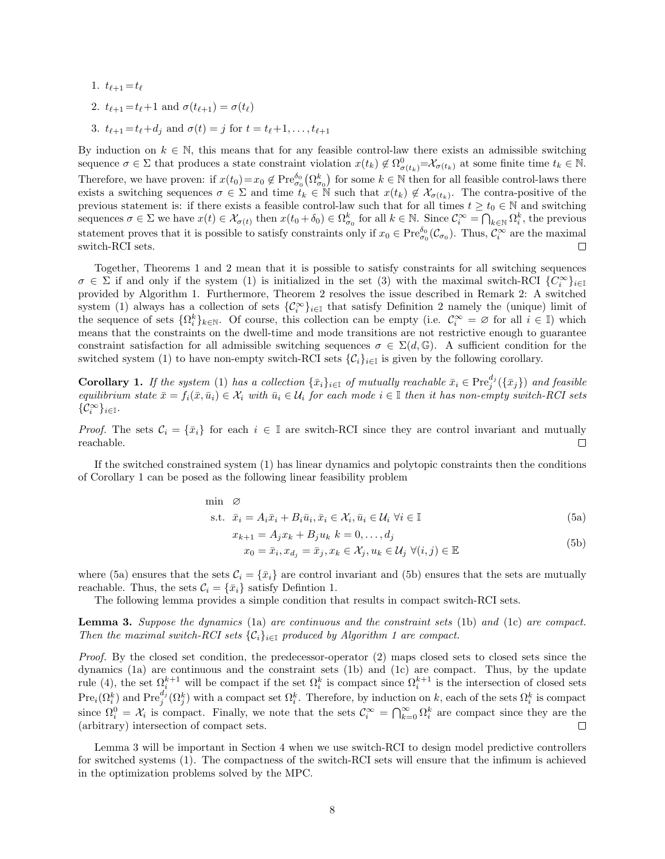1. 
$$
t_{\ell+1} = t_{\ell}
$$
  
\n2.  $t_{\ell+1} = t_{\ell} + 1$  and  $\sigma(t_{\ell+1}) = \sigma(t_{\ell})$   
\n3.  $t_{\ell+1} = t_{\ell} + d_j$  and  $\sigma(t) = j$  for  $t = t_{\ell} + 1, ..., t_{\ell+1}$ 

By induction on  $k \in \mathbb{N}$ , this means that for any feasible control-law there exists an admissible switching sequence  $\sigma \in \Sigma$  that produces a state constraint violation  $x(t_k) \notin \Omega^0_{\sigma(t_k)} = \mathcal{X}_{\sigma(t_k)}$  at some finite time  $t_k \in \mathbb{N}$ . Therefore, we have proven: if  $x(t_0) = x_0 \notin \text{Pre}^{\delta_0}_{\sigma_0}(\Omega_{\sigma_0}^k)$  for some  $k \in \mathbb{N}$  then for all feasible control-laws there exists a switching sequences  $\sigma \in \Sigma$  and time  $t_k \in \mathbb{N}$  such that  $x(t_k) \notin \mathcal{X}_{\sigma(t_k)}$ . The contra-positive of the previous statement is: if there exists a feasible control-law such that for all times  $t \geq t_0 \in \mathbb{N}$  and switching sequences  $\sigma \in \Sigma$  we have  $x(t) \in \mathcal{X}_{\sigma(t)}$  then  $x(t_0 + \delta_0) \in \Omega_{\sigma_0}^k$  for all  $k \in \mathbb{N}$ . Since  $\mathcal{C}_i^{\infty} = \bigcap_{k \in \mathbb{N}} \Omega_i^k$ , the previous statement proves that it is possible to satisfy constraints only if  $x_0 \in \text{Pre}_{\sigma_0}^{\delta_0}(\mathcal{C}_{\sigma_0})$ . Thus,  $\mathcal{C}_i^{\infty}$  are the maximal switch-RCI sets.  $\Box$ 

Together, Theorems 1 and 2 mean that it is possible to satisfy constraints for all switching sequences  $\sigma \in \Sigma$  if and only if the system (1) is initialized in the set (3) with the maximal switch-RCI  $\{C_i^{\infty}\}_{i\in\mathbb{I}}$ provided by Algorithm 1. Furthermore, Theorem 2 resolves the issue described in Remark 2: A switched system (1) always has a collection of sets  $\{\mathcal{C}_i^{\infty}\}_{i\in\mathbb{I}}$  that satisfy Definition 2 namely the (unique) limit of the sequence of sets  $\{\Omega_i^k\}_{k\in\mathbb{N}}$ . Of course, this collection can be empty (i.e.  $\mathcal{C}_i^{\infty} = \emptyset$  for all  $i \in \mathbb{I}$ ) which means that the constraints on the dwell-time and mode transitions are not restrictive enough to guarantee constraint satisfaction for all admissible switching sequences  $\sigma \in \Sigma(d, \mathbb{G})$ . A sufficient condition for the switched system (1) to have non-empty switch-RCI sets  $\{\mathcal{C}_i\}_{i\in\mathbb{I}}$  is given by the following corollary.

**Corollary 1.** If the system (1) has a collection  $\{\bar{x}_i\}_{i\in\mathbb{I}}$  of mutually reachable  $\bar{x}_i \in \text{Pre}_{j}^{d_j}(\{\bar{x}_j\})$  and feasible equilibrium state  $\bar{x} = f_i(\bar{x}, \bar{u}_i) \in \mathcal{X}_i$  with  $\bar{u}_i \in \mathcal{U}_i$  for each mode  $i \in \mathbb{I}$  then it has non-empty switch-RCI sets  $\{\mathcal{C}^\infty_i\}_{i\in\mathbb{I}}.$ 

*Proof.* The sets  $C_i = \{\bar{x}_i\}$  for each  $i \in \mathbb{I}$  are switch-RCI since they are control invariant and mutually reachable.  $\Box$ 

If the switched constrained system (1) has linear dynamics and polytopic constraints then the conditions of Corollary 1 can be posed as the following linear feasibility problem

$$
\min \quad \varnothing
$$
\n
$$
\text{s.t.} \quad \bar{x}_i = A_i \bar{x}_i + B_i \bar{u}_i, \bar{x}_i \in \mathcal{X}_i, \bar{u}_i \in \mathcal{U}_i \ \forall i \in \mathbb{I}
$$
\n
$$
x_{k+1} = A_j x_k + B_j u_k \ k = 0, \dots, d_j
$$
\n
$$
x_0 = \bar{x}_i, x_{d_j} = \bar{x}_j, x_k \in \mathcal{X}_j, u_k \in \mathcal{U}_j \ \forall (i, j) \in \mathbb{E}
$$
\n
$$
(5b)
$$

where (5a) ensures that the sets  $C_i = \{\bar{x}_i\}$  are control invariant and (5b) ensures that the sets are mutually reachable. Thus, the sets  $C_i = {\bar{x}_i}$  satisfy Defintion 1.

The following lemma provides a simple condition that results in compact switch-RCI sets.

Lemma 3. Suppose the dynamics (1a) are continuous and the constraint sets (1b) and (1c) are compact. Then the maximal switch-RCI sets  ${C_i}_{i \in I}$  produced by Algorithm 1 are compact.

Proof. By the closed set condition, the predecessor-operator (2) maps closed sets to closed sets since the dynamics (1a) are continuous and the constraint sets (1b) and (1c) are compact. Thus, by the update rule (4), the set  $\Omega_i^{k+1}$  will be compact if the set  $\Omega_i^k$  is compact since  $\Omega_i^{k+1}$  is the intersection of closed sets  $Pre_i(\Omega_i^k)$  and  $Pre_j^{d_j}(\Omega_j^k)$  with a compact set  $\Omega_i^k$ . Therefore, by induction on k, each of the sets  $\Omega_i^k$  is compact since  $\Omega_i^0 = \mathcal{X}_i$  is compact. Finally, we note that the sets  $\mathcal{C}_i^{\infty} = \bigcap_{k=0}^{\infty} \Omega_i^k$  are compact since they are the (arbitrary) intersection of compact sets.  $\Box$ 

Lemma 3 will be important in Section 4 when we use switch-RCI to design model predictive controllers for switched systems (1). The compactness of the switch-RCI sets will ensure that the infimum is achieved in the optimization problems solved by the MPC.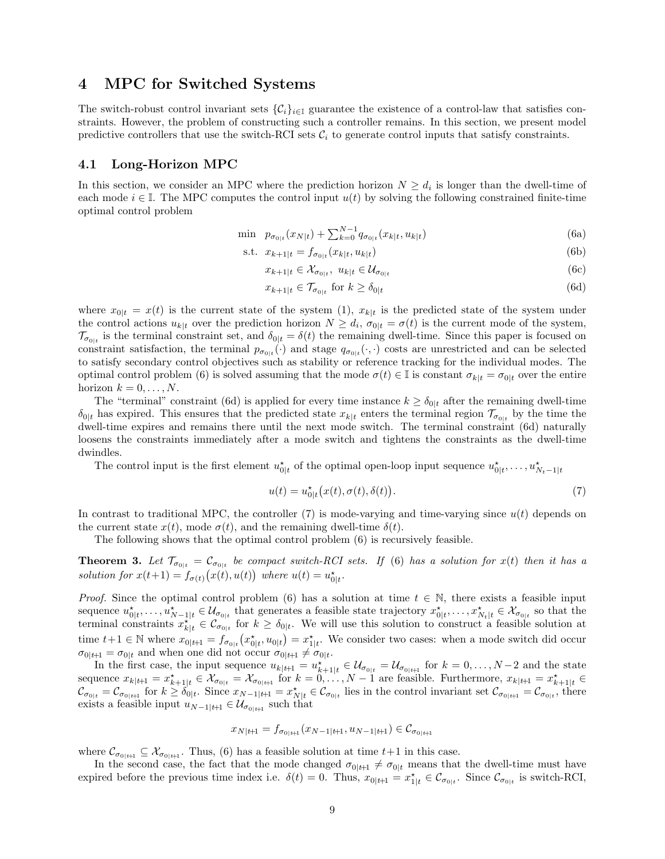### 4 MPC for Switched Systems

The switch-robust control invariant sets  ${C_i}_{i\in\mathbb{I}}$  guarantee the existence of a control-law that satisfies constraints. However, the problem of constructing such a controller remains. In this section, we present model predictive controllers that use the switch-RCI sets  $\mathcal{C}_i$  to generate control inputs that satisfy constraints.

### 4.1 Long-Horizon MPC

In this section, we consider an MPC where the prediction horizon  $N \geq d_i$  is longer than the dwell-time of each mode  $i \in \mathbb{I}$ . The MPC computes the control input  $u(t)$  by solving the following constrained finite-time optimal control problem

$$
\min \ \ p_{\sigma_{0|t}}(x_{N|t}) + \sum_{k=0}^{N-1} q_{\sigma_{0|t}}(x_{k|t}, u_{k|t}) \tag{6a}
$$

s.t. 
$$
x_{k+1|t} = f_{\sigma_{0|t}}(x_{k|t}, u_{k|t})
$$
 (6b)

$$
x_{k+1|t} \in \mathcal{X}_{\sigma_{0|t}}, \ u_{k|t} \in \mathcal{U}_{\sigma_{0|t}} \tag{6c}
$$

$$
x_{k+1|t} \in \mathcal{T}_{\sigma_{0|t}} \text{ for } k \ge \delta_{0|t} \tag{6d}
$$

where  $x_{0|t} = x(t)$  is the current state of the system (1),  $x_{k|t}$  is the predicted state of the system under the control actions  $u_{k|t}$  over the prediction horizon  $N \geq d_i$ ,  $\sigma_{0|t} = \sigma(t)$  is the current mode of the system,  $\mathcal{T}_{\sigma_{0|t}}$  is the terminal constraint set, and  $\delta_{0|t} = \delta(t)$  the remaining dwell-time. Since this paper is focused on constraint satisfaction, the terminal  $p_{\sigma_{0|t}}(\cdot)$  and stage  $q_{\sigma_{0|t}}(\cdot,\cdot)$  costs are unrestricted and can be selected to satisfy secondary control objectives such as stability or reference tracking for the individual modes. The optimal control problem (6) is solved assuming that the mode  $\sigma(t) \in \mathbb{I}$  is constant  $\sigma_{k|t} = \sigma_{0|t}$  over the entire horizon  $k = 0, \ldots, N$ .

The "terminal" constraint (6d) is applied for every time instance  $k \ge \delta_{0|t}$  after the remaining dwell-time  $\delta_{0|t}$  has expired. This ensures that the predicted state  $x_{k|t}$  enters the terminal region  $\mathcal{T}_{\sigma_{0|t}}$  by the time the dwell-time expires and remains there until the next mode switch. The terminal constraint (6d) naturally loosens the constraints immediately after a mode switch and tightens the constraints as the dwell-time dwindles.

The control input is the first element  $u_{0|t}^*$  of the optimal open-loop input sequence  $u_{0|t}^*, \ldots, u_{N_t-1|t}^*$ 

$$
u(t) = u_{0|t}^{\star}(x(t), \sigma(t), \delta(t)).
$$
\n(7)

In contrast to traditional MPC, the controller (7) is mode-varying and time-varying since  $u(t)$  depends on the current state  $x(t)$ , mode  $\sigma(t)$ , and the remaining dwell-time  $\delta(t)$ .

The following shows that the optimal control problem (6) is recursively feasible.

**Theorem 3.** Let  $\mathcal{T}_{\sigma_{0|t}} = \mathcal{C}_{\sigma_{0|t}}$  be compact switch-RCI sets. If (6) has a solution for  $x(t)$  then it has a solution for  $x(t+1) = f_{\sigma(t)}(x(t), u(t))$  where  $u(t) = u_{0|t}^*$ .

*Proof.* Since the optimal control problem (6) has a solution at time  $t \in \mathbb{N}$ , there exists a feasible input sequence  $u_{0|t}^*,\ldots,u_{N-1|t}^*\in\mathcal{U}_{\sigma_{0|t}}$  that generates a feasible state trajectory  $x_{0|t}^*,\ldots,x_{N_t|t}^*\in\mathcal{X}_{\sigma_{0|t}}$  so that the terminal constraints  $x_{k|t}^{\dagger} \in C_{\sigma_{0|t}}$  for  $k \geq \delta_{0|t}$ . We will use this solution to construct a feasible solution at time  $t+1 \in \mathbb{N}$  where  $x_{0|t+1} = f_{\sigma_{0|t}}(x_{0|t}^*, u_{0|t}) = x_{1|t}^*$ . We consider two cases: when a mode switch did occur  $\sigma_{0|t+1} = \sigma_{0|t}$  and when one did not occur  $\sigma_{0|t+1} \neq \sigma_{0|t}$ .

In the first case, the input sequence  $u_{k|t+1} = u_{k+1|t}^* \in \mathcal{U}_{\sigma_{0|t}} = \mathcal{U}_{\sigma_{0|t+1}}$  for  $k = 0, \ldots, N-2$  and the state sequence  $x_{k|t+1} = x_{k+1|t}^* \in \mathcal{X}_{\sigma_{0|t}} = \mathcal{X}_{\sigma_{0|t+1}}$  for  $k = 0, \ldots, N-1$  are feasible. Furthermore,  $x_{k|t+1} = x_{k+1|t}^* \in$  $\mathcal{C}_{\sigma_{0|t}} = \mathcal{C}_{\sigma_{0|t+1}}$  for  $k \geq \delta_{0|t}$ . Since  $x_{N-1|t+1} = x_{N|t}^* \in \mathcal{C}_{\sigma_{0|t}}$  lies in the control invariant set  $\mathcal{C}_{\sigma_{0|t+1}} = \mathcal{C}_{\sigma_{0|t}}$ , there exists a feasible input  $u_{N-1|t+1} \in \mathcal{U}_{\sigma_{0|t+1}}$  such that

$$
x_{N|t+1} = f_{\sigma_{0|t+1}}(x_{N-1|t+1}, u_{N-1|t+1}) \in \mathcal{C}_{\sigma_{0|t+1}}
$$

where  $\mathcal{C}_{\sigma_{0|t+1}} \subseteq \mathcal{X}_{\sigma_{0|t+1}}$ . Thus, (6) has a feasible solution at time  $t+1$  in this case.

In the second case, the fact that the mode changed  $\sigma_{0|t+1} \neq \sigma_{0|t}$  means that the dwell-time must have expired before the previous time index i.e.  $\delta(t) = 0$ . Thus,  $x_{0|t+1} = x_{1|t}^* \in C_{\sigma_{0|t}}$ . Since  $C_{\sigma_{0|t}}$  is switch-RCI,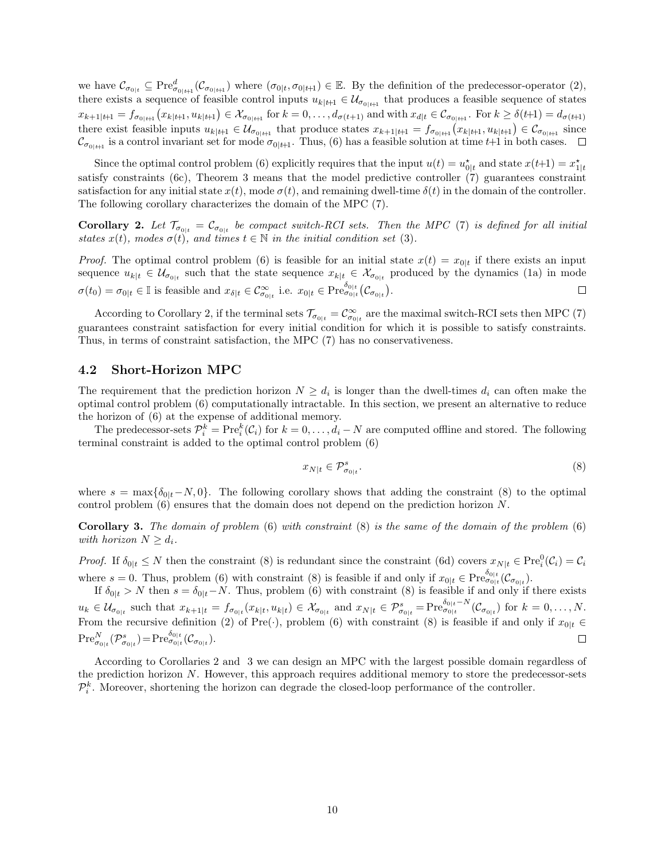we have  $\mathcal{C}_{\sigma_{0|t}} \subseteq \text{Pre}_{\sigma_{0|t+1}}^d(\mathcal{C}_{\sigma_{0|t+1}})$  where  $(\sigma_{0|t}, \sigma_{0|t+1}) \in \mathbb{E}$ . By the definition of the predecessor-operator (2), there exists a sequence of feasible control inputs  $u_{k|t+1} \in \mathcal{U}_{\sigma_{0|t+1}}$  that produces a feasible sequence of states  $x_{k+1|t+1} = f_{\sigma_{0|t+1}}(x_{k|t+1}, u_{k|t+1}) \in \mathcal{X}_{\sigma_{0|t+1}}$  for  $k = 0, \ldots, d_{\sigma(t+1)}$  and with  $x_{d|t} \in \mathcal{C}_{\sigma_{0|t+1}}$ . For  $k \geq \delta(t+1) = d_{\sigma(t+1)}$ there exist feasible inputs  $u_{k|t+1} \in \mathcal{U}_{\sigma_{0|t+1}}$  that produce states  $x_{k+1|t+1} = f_{\sigma_{0|t+1}}(x_{k|t+1}, u_{k|t+1}) \in \mathcal{C}_{\sigma_{0|t+1}}$  since  $\mathcal{C}_{\sigma_{0|t+1}}$  is a control invariant set for mode  $\sigma_{0|t+1}$ . Thus, (6) has a feasible solution at time t+1 in both cases.

Since the optimal control problem (6) explicitly requires that the input  $u(t) = u_{0|t}^*$  and state  $x(t+1) = x_{1|t}^*$ satisfy constraints (6c), Theorem 3 means that the model predictive controller (7) guarantees constraint satisfaction for any initial state  $x(t)$ , mode  $\sigma(t)$ , and remaining dwell-time  $\delta(t)$  in the domain of the controller. The following corollary characterizes the domain of the MPC (7).

**Corollary 2.** Let  $\mathcal{T}_{\sigma_{0|t}} = \mathcal{C}_{\sigma_{0|t}}$  be compact switch-RCI sets. Then the MPC (7) is defined for all initial states  $x(t)$ , modes  $\sigma(t)$ , and times  $t \in \mathbb{N}$  in the initial condition set (3).

*Proof.* The optimal control problem (6) is feasible for an initial state  $x(t) = x_{0|t}$  if there exists an input sequence  $u_{k|t} \in \mathcal{U}_{\sigma_{0|t}}$  such that the state sequence  $x_{k|t} \in \mathcal{X}_{\sigma_{0|t}}$  produced by the dynamics (1a) in mode  $\sigma(t_0)=\sigma_{0|t}\in\mathbb{I}$  is feasible and  $x_{\delta|t}\in\mathcal{C}_{\sigma_{0|t}}^{\infty}$  i.e.  $x_{0|t}\in\text{Pre}_{\sigma_{0|t}}^{\delta_{0|t}}(\mathcal{C}_{\sigma_{0|t}}).$  $\Box$ 

According to Corollary 2, if the terminal sets  $\mathcal{T}_{\sigma_{0|t}} = \mathcal{C}_{\sigma_{0|t}}^{\infty}$  are the maximal switch-RCI sets then MPC (7) guarantees constraint satisfaction for every initial condition for which it is possible to satisfy constraints. Thus, in terms of constraint satisfaction, the MPC (7) has no conservativeness.

### 4.2 Short-Horizon MPC

The requirement that the prediction horizon  $N \geq d_i$  is longer than the dwell-times  $d_i$  can often make the optimal control problem (6) computationally intractable. In this section, we present an alternative to reduce the horizon of (6) at the expense of additional memory.

The predecessor-sets  $\mathcal{P}_i^k = \text{Pre}_i^k(\mathcal{C}_i)$  for  $k = 0, \ldots, d_i - N$  are computed offline and stored. The following terminal constraint is added to the optimal control problem (6)

$$
x_{N|t} \in \mathcal{P}_{\sigma_{0|t}}^s. \tag{8}
$$

where  $s = \max{\delta_{0|t} - N, 0}$ . The following corollary shows that adding the constraint (8) to the optimal control problem (6) ensures that the domain does not depend on the prediction horizon N.

**Corollary 3.** The domain of problem  $(6)$  with constraint  $(8)$  is the same of the domain of the problem  $(6)$ with horizon  $N \geq d_i$ .

Proof. If  $\delta_{0|t} \leq N$  then the constraint (8) is redundant since the constraint (6d) covers  $x_{N|t} \in \text{Pre}_i^0(\mathcal{C}_i) = \mathcal{C}_i$ where  $s = 0$ . Thus, problem (6) with constraint (8) is feasible if and only if  $x_{0|t} \in \text{Pre}^{\delta_{0|t}}_{\sigma_{0|t}}(\mathcal{C}_{\sigma_{0|t}})$ .

If  $\delta_{0|t} > N$  then  $s = \delta_{0|t} - N$ . Thus, problem (6) with constraint (8) is feasible if and only if there exists  $u_k \in \mathcal{U}_{\sigma_{0|t}}$  such that  $x_{k+1|t} = f_{\sigma_{0|t}}(x_{k|t}, u_{k|t}) \in \mathcal{X}_{\sigma_{0|t}}$  and  $x_{N|t} \in \mathcal{P}_{\sigma_{0|t}}^s = \text{Pre}_{\sigma_{0|t}}^{\delta_{0|t}-N}(\mathcal{C}_{\sigma_{0|t}})$  for  $k = 0, \ldots, N$ . From the recursive definition (2) of Pre(·), problem (6) with constraint (8) is feasible if and only if  $x_{0|t} \in$  $\mathrm{Pre}^N_{\sigma_{0|t}}(\mathcal{P}^s_{\sigma_{0|t}})=\mathrm{Pre}^{\delta_{0|t}}_{\sigma_{0|t}}(\mathcal{C}_{\sigma_{0|t}}).$  $\Box$ 

According to Corollaries 2 and 3 we can design an MPC with the largest possible domain regardless of the prediction horizon N. However, this approach requires additional memory to store the predecessor-sets  $\mathcal{P}_i^k$ . Moreover, shortening the horizon can degrade the closed-loop performance of the controller.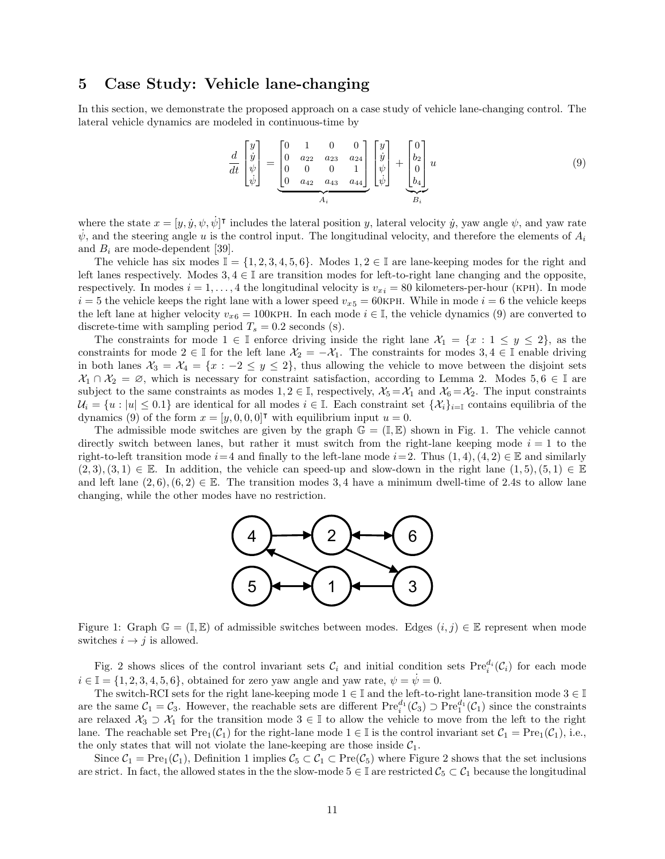### 5 Case Study: Vehicle lane-changing

In this section, we demonstrate the proposed approach on a case study of vehicle lane-changing control. The lateral vehicle dynamics are modeled in continuous-time by

$$
\frac{d}{dt} \begin{bmatrix} y \\ \dot{y} \\ \psi \\ \dot{\psi} \end{bmatrix} = \underbrace{\begin{bmatrix} 0 & 1 & 0 & 0 \\ 0 & a_{22} & a_{23} & a_{24} \\ 0 & 0 & 0 & 1 \\ 0 & a_{42} & a_{43} & a_{44} \end{bmatrix}}_{A_i} \begin{bmatrix} y \\ \dot{y} \\ \psi \\ \dot{\psi} \end{bmatrix} + \underbrace{\begin{bmatrix} 0 \\ b_2 \\ 0 \\ b_4 \end{bmatrix}}_{B_i} u
$$
\n(9)

where the state  $x = [y, \dot{y}, \psi, \dot{\psi}]^{\dagger}$  includes the lateral position y, lateral velocity y, yaw angle  $\psi$ , and yaw rate  $\dot{\psi}$ , and the steering angle u is the control input. The longitudinal velocity, and therefore the elements of  $A_i$ and  $B_i$  are mode-dependent [39].

The vehicle has six modes  $\mathbb{I} = \{1, 2, 3, 4, 5, 6\}$ . Modes  $1, 2 \in \mathbb{I}$  are lane-keeping modes for the right and left lanes respectively. Modes  $3, 4 \in \mathbb{I}$  are transition modes for left-to-right lane changing and the opposite, respectively. In modes  $i = 1, \ldots, 4$  the longitudinal velocity is  $v_{xi} = 80$  kilometers-per-hour (KPH). In mode  $i = 5$  the vehicle keeps the right lane with a lower speed  $v_{x5} = 60$ KPH. While in mode  $i = 6$  the vehicle keeps the left lane at higher velocity  $v_{x6} = 100$ KPH. In each mode  $i \in \mathbb{I}$ , the vehicle dynamics (9) are converted to discrete-time with sampling period  $T_s = 0.2$  seconds (s).

The constraints for mode  $1 \in \mathbb{I}$  enforce driving inside the right lane  $\mathcal{X}_1 = \{x : 1 \leq y \leq 2\}$ , as the constraints for mode  $2 \in \mathbb{I}$  for the left lane  $\mathcal{X}_2 = -\mathcal{X}_1$ . The constraints for modes  $3, 4 \in \mathbb{I}$  enable driving in both lanes  $\mathcal{X}_3 = \mathcal{X}_4 = \{x : -2 \leq y \leq 2\}$ , thus allowing the vehicle to move between the disjoint sets  $\mathcal{X}_1 \cap \mathcal{X}_2 = \emptyset$ , which is necessary for constraint satisfaction, according to Lemma 2. Modes 5,6  $\in \mathbb{I}$  are subject to the same constraints as modes  $1, 2 \in \mathbb{I}$ , respectively,  $\mathcal{X}_5 = \mathcal{X}_1$  and  $\mathcal{X}_6 = \mathcal{X}_2$ . The input constraints  $\mathcal{U}_i = \{u : |u| \leq 0.1\}$  are identical for all modes  $i \in \mathbb{I}$ . Each constraint set  $\{\mathcal{X}_i\}_{i=1}$  contains equilibria of the dynamics (9) of the form  $x = [y, 0, 0, 0]^\intercal$  with equilibrium input  $u = 0$ .

The admissible mode switches are given by the graph  $\mathbb{G} = (\mathbb{I}, \mathbb{E})$  shown in Fig. 1. The vehicle cannot directly switch between lanes, but rather it must switch from the right-lane keeping mode  $i = 1$  to the right-to-left transition mode  $i=4$  and finally to the left-lane mode  $i=2$ . Thus  $(1,4), (4,2) \in \mathbb{E}$  and similarly  $(2, 3), (3, 1) \in \mathbb{E}$ . In addition, the vehicle can speed-up and slow-down in the right lane  $(1, 5), (5, 1) \in \mathbb{E}$ and left lane  $(2, 6), (6, 2) \in \mathbb{E}$ . The transition modes 3,4 have a minimum dwell-time of 2.4s to allow lane changing, while the other modes have no restriction.



Figure 1: Graph  $\mathbb{G} = (\mathbb{I}, \mathbb{E})$  of admissible switches between modes. Edges  $(i, j) \in \mathbb{E}$  represent when mode switches  $i \rightarrow j$  is allowed.

Fig. 2 shows slices of the control invariant sets  $\mathcal{C}_i$  and initial condition sets  $\text{Pre}_i^{d_i}(\mathcal{C}_i)$  for each mode  $i \in \mathbb{I} = \{1, 2, 3, 4, 5, 6\}$ , obtained for zero yaw angle and yaw rate,  $\psi = \dot{\psi} = 0$ .

The switch-RCI sets for the right lane-keeping mode  $1 \in \mathbb{I}$  and the left-to-right lane-transition mode  $3 \in \mathbb{I}$ are the same  $C_1 = C_3$ . However, the reachable sets are different  $\text{Pre}_i^{d_1}(\mathcal{C}_3) \supset \text{Pre}_1^{d_1}(\mathcal{C}_1)$  since the constraints are relaxed  $\mathcal{X}_3 \supset \mathcal{X}_1$  for the transition mode  $3 \in \mathbb{I}$  to allow the vehicle to move from the left to the right lane. The reachable set  $\text{Pre}_1(\mathcal{C}_1)$  for the right-lane mode  $1 \in \mathbb{I}$  is the control invariant set  $\mathcal{C}_1 = \text{Pre}_1(\mathcal{C}_1)$ , i.e., the only states that will not violate the lane-keeping are those inside  $C_1$ .

Since  $C_1 = \text{Pre}_1(C_1)$ , Definition 1 implies  $C_5 \subset C_1 \subset \text{Pre}(C_5)$  where Figure 2 shows that the set inclusions are strict. In fact, the allowed states in the the slow-mode  $5 \in \mathbb{I}$  are restricted  $\mathcal{C}_5 \subset \mathcal{C}_1$  because the longitudinal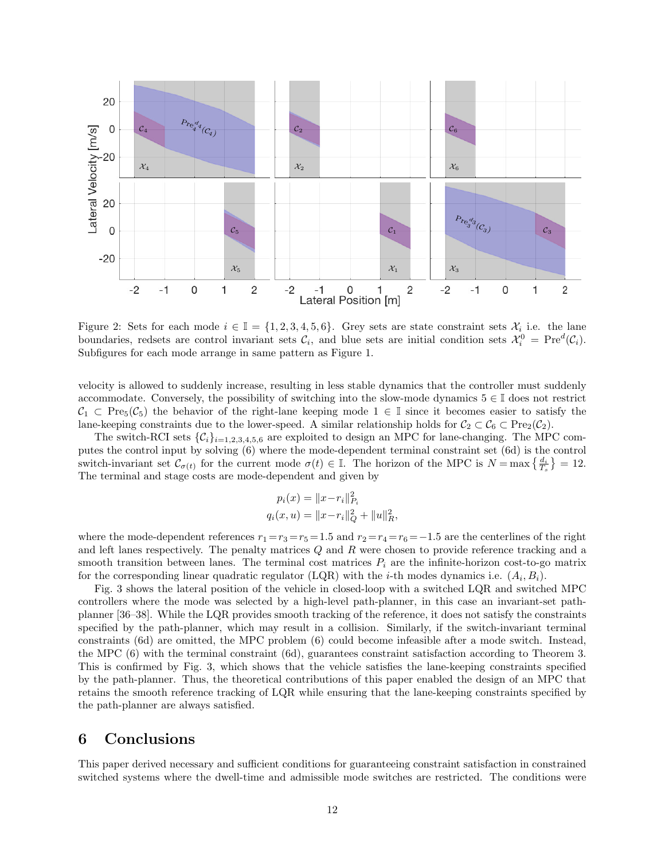

Figure 2: Sets for each mode  $i \in \mathbb{I} = \{1, 2, 3, 4, 5, 6\}$ . Grey sets are state constraint sets  $\mathcal{X}_i$  i.e. the lane boundaries, redsets are control invariant sets  $\mathcal{C}_i$ , and blue sets are initial condition sets  $\mathcal{X}_i^0 = \text{Pre}^d(\mathcal{C}_i)$ . Subfigures for each mode arrange in same pattern as Figure 1.

velocity is allowed to suddenly increase, resulting in less stable dynamics that the controller must suddenly accommodate. Conversely, the possibility of switching into the slow-mode dynamics  $5 \in \mathbb{I}$  does not restrict  $C_1 \subset \text{Pre}_5(\mathcal{C}_5)$  the behavior of the right-lane keeping mode  $1 \in \mathbb{I}$  since it becomes easier to satisfy the lane-keeping constraints due to the lower-speed. A similar relationship holds for  $C_2 \subset C_6 \subset Pre_2(C_2)$ .

The switch-RCI sets  $\{\mathcal{C}_i\}_{i=1,2,3,4,5,6}$  are exploited to design an MPC for lane-changing. The MPC computes the control input by solving (6) where the mode-dependent terminal constraint set (6d) is the control switch-invariant set  $\mathcal{C}_{\sigma(t)}$  for the current mode  $\sigma(t) \in \mathbb{I}$ . The horizon of the MPC is  $N = \max\left\{\frac{d_i}{T_s}\right\} = 12$ . The terminal and stage costs are mode-dependent and given by

$$
p_i(x) = ||x - r_i||_{P_i}^2
$$
  

$$
q_i(x, u) = ||x - r_i||_Q^2 + ||u||_R^2,
$$

where the mode-dependent references  $r_1 = r_3 = r_5 = 1.5$  and  $r_2 = r_4 = r_6 = -1.5$  are the centerlines of the right and left lanes respectively. The penalty matrices  $Q$  and  $R$  were chosen to provide reference tracking and a smooth transition between lanes. The terminal cost matrices  $P_i$  are the infinite-horizon cost-to-go matrix for the corresponding linear quadratic regulator (LQR) with the *i*-th modes dynamics i.e.  $(A_i, B_i)$ .

Fig. 3 shows the lateral position of the vehicle in closed-loop with a switched LQR and switched MPC controllers where the mode was selected by a high-level path-planner, in this case an invariant-set pathplanner [36–38]. While the LQR provides smooth tracking of the reference, it does not satisfy the constraints specified by the path-planner, which may result in a collision. Similarly, if the switch-invariant terminal constraints (6d) are omitted, the MPC problem (6) could become infeasible after a mode switch. Instead, the MPC (6) with the terminal constraint (6d), guarantees constraint satisfaction according to Theorem 3. This is confirmed by Fig. 3, which shows that the vehicle satisfies the lane-keeping constraints specified by the path-planner. Thus, the theoretical contributions of this paper enabled the design of an MPC that retains the smooth reference tracking of LQR while ensuring that the lane-keeping constraints specified by the path-planner are always satisfied.

### 6 Conclusions

This paper derived necessary and sufficient conditions for guaranteeing constraint satisfaction in constrained switched systems where the dwell-time and admissible mode switches are restricted. The conditions were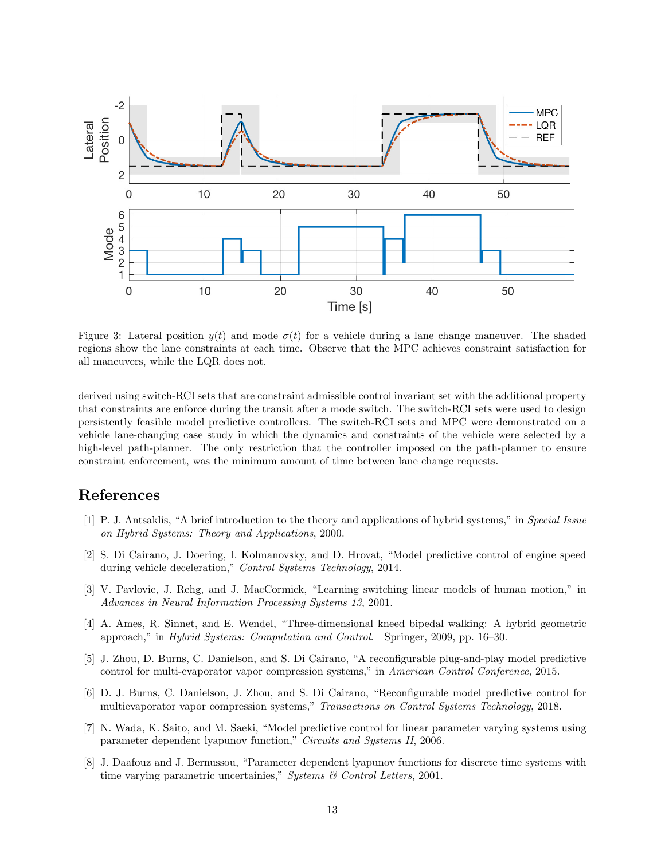

Figure 3: Lateral position  $y(t)$  and mode  $\sigma(t)$  for a vehicle during a lane change maneuver. The shaded regions show the lane constraints at each time. Observe that the MPC achieves constraint satisfaction for all maneuvers, while the LQR does not.

derived using switch-RCI sets that are constraint admissible control invariant set with the additional property that constraints are enforce during the transit after a mode switch. The switch-RCI sets were used to design persistently feasible model predictive controllers. The switch-RCI sets and MPC were demonstrated on a vehicle lane-changing case study in which the dynamics and constraints of the vehicle were selected by a high-level path-planner. The only restriction that the controller imposed on the path-planner to ensure constraint enforcement, was the minimum amount of time between lane change requests.

## References

- [1] P. J. Antsaklis, "A brief introduction to the theory and applications of hybrid systems," in Special Issue on Hybrid Systems: Theory and Applications, 2000.
- [2] S. Di Cairano, J. Doering, I. Kolmanovsky, and D. Hrovat, "Model predictive control of engine speed during vehicle deceleration," Control Systems Technology, 2014.
- [3] V. Pavlovic, J. Rehg, and J. MacCormick, "Learning switching linear models of human motion," in Advances in Neural Information Processing Systems 13, 2001.
- [4] A. Ames, R. Sinnet, and E. Wendel, "Three-dimensional kneed bipedal walking: A hybrid geometric approach," in Hybrid Systems: Computation and Control. Springer, 2009, pp. 16–30.
- [5] J. Zhou, D. Burns, C. Danielson, and S. Di Cairano, "A reconfigurable plug-and-play model predictive control for multi-evaporator vapor compression systems," in American Control Conference, 2015.
- [6] D. J. Burns, C. Danielson, J. Zhou, and S. Di Cairano, "Reconfigurable model predictive control for multievaporator vapor compression systems," Transactions on Control Systems Technology, 2018.
- [7] N. Wada, K. Saito, and M. Saeki, "Model predictive control for linear parameter varying systems using parameter dependent lyapunov function," Circuits and Systems II, 2006.
- [8] J. Daafouz and J. Bernussou, "Parameter dependent lyapunov functions for discrete time systems with time varying parametric uncertainies," Systems & Control Letters, 2001.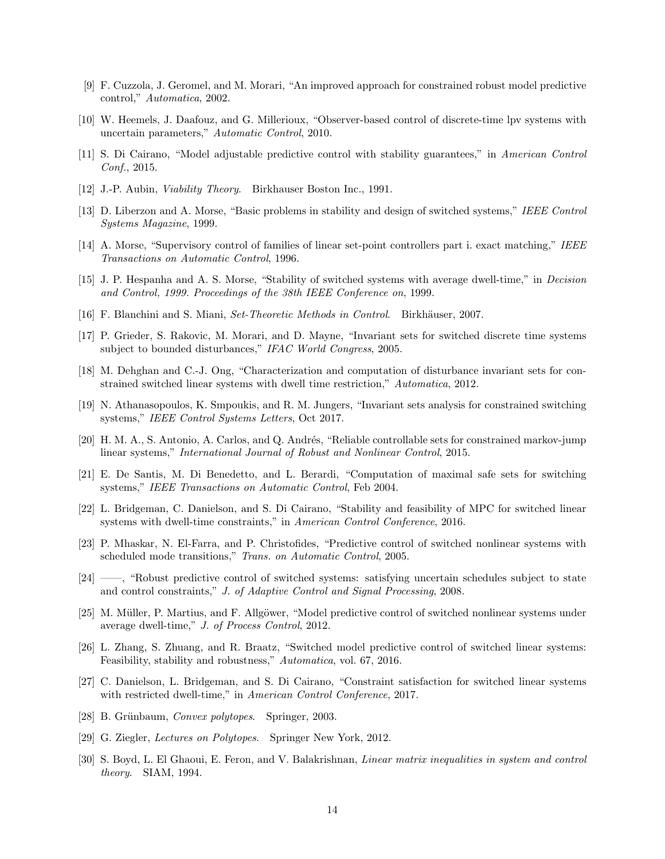- [9] F. Cuzzola, J. Geromel, and M. Morari, "An improved approach for constrained robust model predictive control," Automatica, 2002.
- [10] W. Heemels, J. Daafouz, and G. Millerioux, "Observer-based control of discrete-time lpv systems with uncertain parameters," Automatic Control, 2010.
- [11] S. Di Cairano, "Model adjustable predictive control with stability guarantees," in American Control Conf., 2015.
- [12] J.-P. Aubin, Viability Theory. Birkhauser Boston Inc., 1991.
- [13] D. Liberzon and A. Morse, "Basic problems in stability and design of switched systems," IEEE Control Systems Magazine, 1999.
- [14] A. Morse, "Supervisory control of families of linear set-point controllers part i. exact matching," IEEE Transactions on Automatic Control, 1996.
- [15] J. P. Hespanha and A. S. Morse, "Stability of switched systems with average dwell-time," in Decision and Control, 1999. Proceedings of the 38th IEEE Conference on, 1999.
- [16] F. Blanchini and S. Miani, *Set-Theoretic Methods in Control.* Birkhäuser, 2007.
- [17] P. Grieder, S. Rakovic, M. Morari, and D. Mayne, "Invariant sets for switched discrete time systems subject to bounded disturbances," IFAC World Congress, 2005.
- [18] M. Dehghan and C.-J. Ong, "Characterization and computation of disturbance invariant sets for constrained switched linear systems with dwell time restriction," Automatica, 2012.
- [19] N. Athanasopoulos, K. Smpoukis, and R. M. Jungers, "Invariant sets analysis for constrained switching systems," IEEE Control Systems Letters, Oct 2017.
- [20] H. M. A., S. Antonio, A. Carlos, and Q. Andrés, "Reliable controllable sets for constrained markov-jump linear systems," International Journal of Robust and Nonlinear Control, 2015.
- [21] E. De Santis, M. Di Benedetto, and L. Berardi, "Computation of maximal safe sets for switching systems," IEEE Transactions on Automatic Control, Feb 2004.
- [22] L. Bridgeman, C. Danielson, and S. Di Cairano, "Stability and feasibility of MPC for switched linear systems with dwell-time constraints," in American Control Conference, 2016.
- [23] P. Mhaskar, N. El-Farra, and P. Christofides, "Predictive control of switched nonlinear systems with scheduled mode transitions," Trans. on Automatic Control, 2005.
- [24] ——, "Robust predictive control of switched systems: satisfying uncertain schedules subject to state and control constraints," J. of Adaptive Control and Signal Processing, 2008.
- [25] M. Müller, P. Martius, and F. Allgöwer, "Model predictive control of switched nonlinear systems under average dwell-time," J. of Process Control, 2012.
- [26] L. Zhang, S. Zhuang, and R. Braatz, "Switched model predictive control of switched linear systems: Feasibility, stability and robustness," Automatica, vol. 67, 2016.
- [27] C. Danielson, L. Bridgeman, and S. Di Cairano, "Constraint satisfaction for switched linear systems with restricted dwell-time," in American Control Conference, 2017.
- [28] B. Grünbaum, Convex polytopes. Springer, 2003.
- [29] G. Ziegler, Lectures on Polytopes. Springer New York, 2012.
- [30] S. Boyd, L. El Ghaoui, E. Feron, and V. Balakrishnan, *Linear matrix inequalities in system and control* theory. SIAM, 1994.